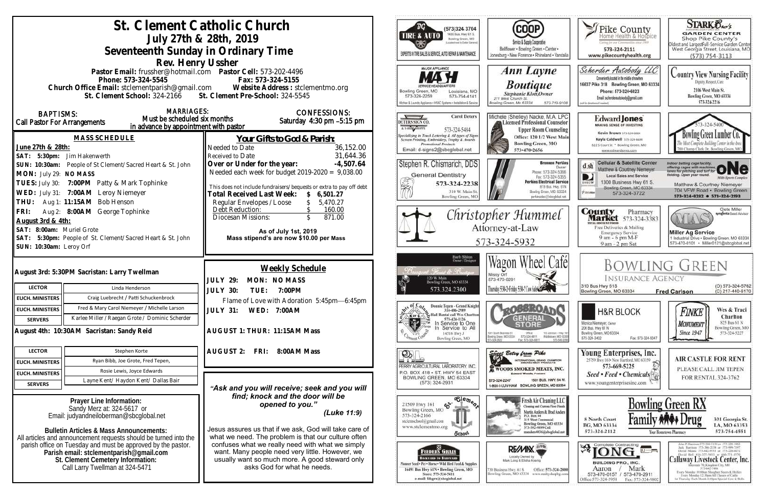|                                                                       |                                                                                                                        | St. Clement Catholic Church                                                                                                                       | $\overline{B}G$<br>(573)324 3704                                                                                                                     |                                                                                                               |
|-----------------------------------------------------------------------|------------------------------------------------------------------------------------------------------------------------|---------------------------------------------------------------------------------------------------------------------------------------------------|------------------------------------------------------------------------------------------------------------------------------------------------------|---------------------------------------------------------------------------------------------------------------|
|                                                                       | July 27th & 28th, 2019                                                                                                 | 1400 Bus. Hwy 61 S.<br><b>TIRE &amp; AUTO</b><br>Bowling Green, MO                                                                                |                                                                                                                                                      |                                                                                                               |
|                                                                       | Seventeenth Sunday in Ordinary Time                                                                                    | ded meet to Cruise Garmens                                                                                                                        | Service & Supply Cooperative<br>Bellflower . Bowling Green . Center .                                                                                |                                                                                                               |
|                                                                       |                                                                                                                        |                                                                                                                                                   | EXPERTS IN TIRE SALES & SERVICE, AUTO REPAIR & MAINTENANCE                                                                                           | Jonesburg . New Florence . Rhineland . Vandal                                                                 |
|                                                                       | Rev. Henry Ussher                                                                                                      |                                                                                                                                                   | <b>MAJOR APPLIANCE</b>                                                                                                                               | <b>Ann Layne</b>                                                                                              |
|                                                                       | Pastor Email: frussher@hotmail.com    Pastor Cell: 573-202-4496<br>Phone: 573-324-5545                                 | Fax: 573-324-5155                                                                                                                                 |                                                                                                                                                      |                                                                                                               |
|                                                                       |                                                                                                                        | Church Office Email: stclementparish@gmail.com Website Address : stclementmo.org<br>St. Clement School: 324-2166 St. Clement Pre-School: 324-5545 | Bowling Green, MO<br>Louisiana, MO                                                                                                                   | <b>Boutique</b>                                                                                               |
|                                                                       |                                                                                                                        |                                                                                                                                                   | 573-754-4141<br>573-324-2259                                                                                                                         | Stephanie Klott, Owner<br>211 West Church St.                                                                 |
|                                                                       | <b>MARRIAGES:</b>                                                                                                      |                                                                                                                                                   | Kitchen & Laundry Appliance . HVAC Systems . Installation & Service                                                                                  | Bowling Green, Mo 63334<br>573-719-910                                                                        |
| <b>BAPTISMS:</b>                                                      | Must be scheduled six months                                                                                           | <b>CONFESSIONS:</b><br>Saturday 4:30 pm -5:15 pm                                                                                                  | <b>Carol Deters</b><br>DETERS SIGN CO.                                                                                                               | Michele (Shelley) Nacke, M.A. LPO<br>Licensed Professional Counselo                                           |
| Call Pastor For Arrangements                                          | in advance by appointment with pastor                                                                                  |                                                                                                                                                   | A LSHIN GROPPE<br>573-324-5484                                                                                                                       | <b>Upper Room Counseling</b>                                                                                  |
|                                                                       | <b>MASS SCHEDULE</b>                                                                                                   | <u>Your Gifts to God &amp; Parish:</u>                                                                                                            | pecializing in Truck Lettering & All types of Signs<br>Screen Printing, Embroidery, Trophy & Awards                                                  | Office: 120 1/2 West Mai                                                                                      |
| June 27th & 28th:                                                     |                                                                                                                        | Needed to Date<br>36,152.00                                                                                                                       | <b>Promotional Products</b><br>Email: d-signs2@sbcglobal.net                                                                                         | <b>Bowling Green, MO</b><br>573-470-2656                                                                      |
| SAT: 5:30pm: Jim Hakenwerth                                           |                                                                                                                        | 31,644.36<br>Received to Date                                                                                                                     |                                                                                                                                                      |                                                                                                               |
|                                                                       | SUN: 10:30am: People of St Clement/Sacred Heart & St. John                                                             | Over or Under for the year:<br>$-4,507.64$                                                                                                        | Stephen R. Chismarich, DDS                                                                                                                           | <b>Brennen Perkin</b><br><b>Dwner</b><br>Phone: 573-324-5366                                                  |
| MON: July 29: NO MASS                                                 |                                                                                                                        | Needed each week for budget $2019-2020 = 9,038.00$                                                                                                | <b>General Dentistry</b>                                                                                                                             | Fax: 573-324-5355<br><b>Perkins Electrical Servic</b>                                                         |
|                                                                       | TUES: July 30: 7:00PM Patty & Mark Tophinke                                                                            | This does not include fundraisers/bequests or extra to pay off debt                                                                               | 573-324-2238<br>310 W. Main St.                                                                                                                      | B19 Bus. Hwy. 61N<br>Bowling Green, MO. 63334                                                                 |
|                                                                       | WED: July 31: 7:00AM Leroy Niemeyer                                                                                    | <b>Total Received Last Week:</b><br>\$6,501.27                                                                                                    | Bowling Green, MO                                                                                                                                    | perkinselec@shoclobal.net                                                                                     |
|                                                                       | THU: Aug 1: 11:15AM Bob Henson                                                                                         | Regular Envelopes / Loose<br>5,470.27<br>Debt Reduction:<br>160.00                                                                                |                                                                                                                                                      |                                                                                                               |
| Aug 2: 8:00AM George Tophinke<br>FRI:<br>August 3rd & 4th:            |                                                                                                                        | 871.00<br>Diocesan Missions:                                                                                                                      |                                                                                                                                                      | Christopher Hummel                                                                                            |
| SAT: 8:00am: Muriel Grote                                             |                                                                                                                        | As of July 1st, 2019                                                                                                                              |                                                                                                                                                      | Attorney-at-Law                                                                                               |
|                                                                       | SAT: 5:30pm: People of St. Clement/Sacred Heart & St. John                                                             | Mass stipend's are now \$10.00 per Mass                                                                                                           | 573-324-5932                                                                                                                                         |                                                                                                               |
| SUN: 10:30am: Leroy Orf                                               |                                                                                                                        |                                                                                                                                                   |                                                                                                                                                      |                                                                                                               |
|                                                                       |                                                                                                                        |                                                                                                                                                   | Barb Shinn<br>Owner/Designer                                                                                                                         | Wagon Wheel Cafe                                                                                              |
|                                                                       | August 3rd: 5:30PM Sacristan: Larry Twellman                                                                           | Weekly Schedule                                                                                                                                   | Francis & Brooks                                                                                                                                     |                                                                                                               |
|                                                                       |                                                                                                                        | <b>JULY 29:</b><br>MON: NO MASS                                                                                                                   | 120 W. Main<br>Bowling Green, MO 63334                                                                                                               | Missy Orf<br>573-470-0291                                                                                     |
| <b>LECTOR</b>                                                         | Linda Henderson                                                                                                        | JULY 30:<br>7:00PM<br>TUE:                                                                                                                        | 573.324.2300                                                                                                                                         | Thursday 5:30-2: Friday 5:30-2 Cow Sab6@                                                                      |
| <b>EUCH. MINISTERS</b>                                                | Craig Luebrecht / Patti Schuckenbrock                                                                                  | Flame of Love with Adoration 5:45pm-6:45pm                                                                                                        |                                                                                                                                                      |                                                                                                               |
| <b>EUCH. MINISTERS</b>                                                | Fred & Mary Carol Niemeyer / Michelle Larson                                                                           | JULY 31: WED: 7:00AM                                                                                                                              | Donnie Tepen - Grand Knight                                                                                                                          |                                                                                                               |
| <b>SERVERS</b>                                                        | Karlee Miller / Raegan Grote / Dominic Scherder                                                                        |                                                                                                                                                   | Denmark 314-486-2989<br>or C antil Rental Call Wes Charlton <sup>)</sup><br>573-424-1126<br>And to One<br>Kor C<br>573-424-1126<br>In Service to One |                                                                                                               |
|                                                                       | August 4th: 10:30AM Sacristan: Sandy Reid                                                                              | AUGUST 1: THUR: 11:15AM Mass                                                                                                                      | Service to All<br>14516 Hwy J                                                                                                                        | 1001 South Business 61<br>Ofice<br>110 Johnson - Hwy                                                          |
|                                                                       |                                                                                                                        |                                                                                                                                                   | Bowling Green, MO                                                                                                                                    | Middietown, MD-633<br>Bowlinig Green, MD 63334<br>573-324-6811<br>573-549-20<br>124-2822<br>Fax: 573-324-6811 |
| <b>LECTOR</b>                                                         | Stephen Korte                                                                                                          | <b>AUGUST 2:</b><br>FRI: 8:00AM Mass                                                                                                              | OD.                                                                                                                                                  | Sweet Betsy from Pike                                                                                         |
| <b>EUCH. MINISTERS</b>                                                | Ryan Bibb, Joe Grote, Fred Tepen,                                                                                      |                                                                                                                                                   | PERRY AGRICULTURAL LABORATORY, INC.                                                                                                                  | <b>ITERNATIONAL GRAND CHAMPION</b>                                                                            |
| <b>EUCH. MINISTERS</b>                                                | Rosie Lewis, Joyce Edwards                                                                                             |                                                                                                                                                   | P.O. BOX 418 . ST. HWY 54 EAST                                                                                                                       | <b>E WOODS SMOKED MEATS, INC.</b>                                                                             |
| <b>SERVERS</b>                                                        | Layne Kent/ Haydon Kent/ Dallas Bair                                                                                   |                                                                                                                                                   | BOWLING GREEN, MO 63334<br>$(573)$ 324-2931                                                                                                          | 1501 BUS, HWY, 54 W.<br>573-324-2247<br>1-800-I-LUV-HAM BOWLING GREEN, MO 63334                               |
|                                                                       |                                                                                                                        | "Ask and you will receive; seek and you will<br>find; knock and the door will be                                                                  |                                                                                                                                                      |                                                                                                               |
|                                                                       | Prayer Line Information:                                                                                               | opened to you."                                                                                                                                   | $\overline{\text{e}_{\text{lem}_{\theta_{2}}}$<br>ళ.<br>21509 Hwy 161                                                                                | Fresh Air Cleaning LLC<br>Cleaning and Custom Floor Finish                                                    |
| Sandy Merz at: 324-5617 or<br>Email: judyandneiloberman@sbcglobal.net |                                                                                                                        | (Luke 11:9)                                                                                                                                       | Bowling Green, MO<br>573-324-2166                                                                                                                    | Martin Anders & Brad Anders<br>P.O. Box 44                                                                    |
|                                                                       |                                                                                                                        |                                                                                                                                                   | stelemschool@gmail.com<br>www.stclementmo.org                                                                                                        | 315 West Centennial<br>Bowling Green, MO 63334<br>573-592-9899 Cell                                           |
|                                                                       | <b>Bulletin Articles &amp; Mass Announcements:</b><br>All articles and announcement requests should be turned into the | Jesus assures us that if we ask, God will take care of<br>what we need. The problem is that our culture often                                     | Ochool                                                                                                                                               | manders4036@sbcglobal.net                                                                                     |
|                                                                       | parish office on Tuesday and must be approved by the pastor.                                                           | confuses what we really need with what we simply                                                                                                  |                                                                                                                                                      |                                                                                                               |
|                                                                       | Parish email: stclementparish@gmail.com                                                                                | want. Many people need very little. However, we                                                                                                   | <b>FEEDERS GRAIN</b><br><b>BACKYARD TO BARNVARD</b>                                                                                                  | <b>REWAY</b><br>Locally Dwned by                                                                              |
| St. Clement Cemetery Information:<br>Call Larry Twellman at 324-5471  |                                                                                                                        | usually want so much more. A good steward only<br>asks God for what he needs.                                                                     | Pinneer Seed + Pet . Horse . Wild Bird Feed & Supplies                                                                                               | Mark Lang & Elisha Koenig                                                                                     |
|                                                                       |                                                                                                                        |                                                                                                                                                   | 16491 Bus Hwy 61N . Bowling Green, MO<br>Store: 573-324-5411<br>e-mail: fdsgrn@sbcglobal.net                                                         | Office: 573-324-280<br>130 Business Hwy. 61 S<br>Bowling Green, MO 63334 www.realtyshopbg.com                 |
|                                                                       |                                                                                                                        |                                                                                                                                                   |                                                                                                                                                      |                                                                                                               |

| vier ·<br>I · Vandalia                                                                               | Pike County<br>Home Health & Hospice<br>Caring for our Communities since 1969<br>573-324-2111<br>www.pikecountyhealth.org                                                                                                   | <b>STARK Oxo's</b><br><b>GARDEN CENTER</b><br>Shop Pike County's<br>Oldest and LargestFull-Service Garden Center<br>West Georgia Street, Louisiana, MO<br>$(573) 754 - 3113$                                                                                                                                                                                                                                                      |
|------------------------------------------------------------------------------------------------------|-----------------------------------------------------------------------------------------------------------------------------------------------------------------------------------------------------------------------------|-----------------------------------------------------------------------------------------------------------------------------------------------------------------------------------------------------------------------------------------------------------------------------------------------------------------------------------------------------------------------------------------------------------------------------------|
| e<br>$-719 - 9108$                                                                                   | Scherder Autobody<br>Conveniently located in the middle of nowhere.<br>16637 Pike 318 Bowling Green, MO 63334<br>Phone: 573+324+6023<br>Email: scherderautobody@gmail.com<br>(call for directions if needed)                | Country View Nursing Facility<br>Dignity, Respect, Care<br>2106 West Main St.<br>Bowling Green, MO 63334<br>573-324-2216                                                                                                                                                                                                                                                                                                          |
| A LPC<br>ounselor<br>unseling<br>est Main<br>10                                                      | <b>Edward Jones</b><br><b>MAKING SENSE OF INVESTING</b><br>Kevin Brown 573-824-6604<br>Kayla Caldwell 373-324-6604<br>822 S Court St * Bowling Green, MO<br>www.edwardjones.com                                             | 73-324-5400<br>Bowling Green Lumber<br>The Most Complete Building Center in the Area<br>00 Champ Clark Dr. Bowling Green, MO                                                                                                                                                                                                                                                                                                      |
| en Perkins<br>Dwner<br>324-5366<br>324-5355<br>al Service<br>: Hwy. 61N<br>MO. 63334<br>ton lodolgod | <b>Cellular &amp; Satellite Center</b><br>d sh<br>Matthew & Courtney Niemeyer<br><b>Local Sales and Service</b><br>1300 Business Hwy 61 S.<br>DIRECTY<br>Bowling Green, MO 63334<br><b><i>Piatelele</i></b><br>573-324-3722 | Indoor batting cage facility,<br>offering cages with machines.<br>tanes for pitching and turf for<br>fleiding. Open year round.<br><b>Milti-Sparts Complex</b><br>Matthew & Courtney Niemeyer<br>704 VFW Road · Bowling Green<br>573-324-8282 0 573-324-2193                                                                                                                                                                      |
| el                                                                                                   | County<br>Pharmacy<br>573-324-3383<br>arket<br><b>TITTAL BISCOUNT POOGS</b><br>Free Deliveries & Mailing<br><b>Emergency Service</b><br>9 am - 6 pm M-F<br>9 am - 2 pm Sat                                                  | Clete Miller<br>syngenta Sood Advisor<br><b>Miller Ag Service</b><br>1 Industrial Drive . Bowling Green, MO 63334<br>573-470-0101 · Miller0121@sbcglobal.net                                                                                                                                                                                                                                                                      |
| até                                                                                                  | <b>INSURANCE AGENCY</b><br>310 Bus Hwy 61S<br>Bowling Green, MO 63334                                                                                                                                                       | Bowling Green<br>(O) 573-324-5762<br>(C) 217-440-6170<br><b>Fred Carlson</b>                                                                                                                                                                                                                                                                                                                                                      |
| neps: - Hwy 561<br>town, MO-63359<br>573-549-2090                                                    | <b>H&amp;R BLOCK</b><br>Monica Niemeyer, Owser<br>206 Bus. Hwy 61 N<br>Bowling Green, MO 63334<br>573-324-3402<br>Fax: 573-324-5047                                                                                         | Wes & Traci<br>Finke<br>Charlton<br>825 Bus 61 N<br><i><b>MONUMENT</b></i><br>Bowling Green, MO<br><b>Since 1947</b><br>573-324-5227                                                                                                                                                                                                                                                                                              |
| <b>AMPION</b><br><b>STO</b><br>5, INC.<br>NY. 54 W.<br>MO 63334                                      | Young Enterprises, Inc.<br>25759 Hwy 161 - New Hartford, MO 63359<br>573-669-5225<br>Seed • Feed • Chemicals<br>www.youngenterprisesinc.com                                                                                 | <b>AIR CASTLE FOR RENT</b><br>PLEASE CALL JIM TEPEN<br>FOR RENTAL 324-3762                                                                                                                                                                                                                                                                                                                                                        |
| ng LLC<br>Toor Finish<br>ad Anders<br>0 63334<br>global.net                                          | Fami<br>8 North Court<br>BG, MO 63334<br>573-324-2112                                                                                                                                                                       | <b>Bowling Green RX</b><br>rug<br>301 Georgia St.<br>LA, MO 63353<br>573-754-4551<br>Your Hometown Pharmacy                                                                                                                                                                                                                                                                                                                       |
| $-324 - 2800$<br>hopbit.com                                                                          | Complete Contracting<br>iU-<br>BUILDING PRO., INC.<br>Mark<br>Aaron<br>573-470-0157<br>573-470-2911<br>Office: 573-324-5958<br>Fax: 573-324-9802                                                                            | John P. Harrison 573-386-5150 or 573-220-1482<br>Jack Hurrison 573-386-2138 or 573-999-7197<br>David Means 573-642-9753 st 573-220-0472<br>David Bell 816-527-5633 or 660-721-1370<br>Callaway Livestock Center, Inc.<br>Interstate 70, Kingdom City, MO<br>573-642-7480.<br>Exery Monitay 10:00am Sloughor: Steers & Heifers<br>Every Menday 12:30pm All Classes of Cattle<br>Let Thursday Each Month 6:00pm Special Cow & Bulls |